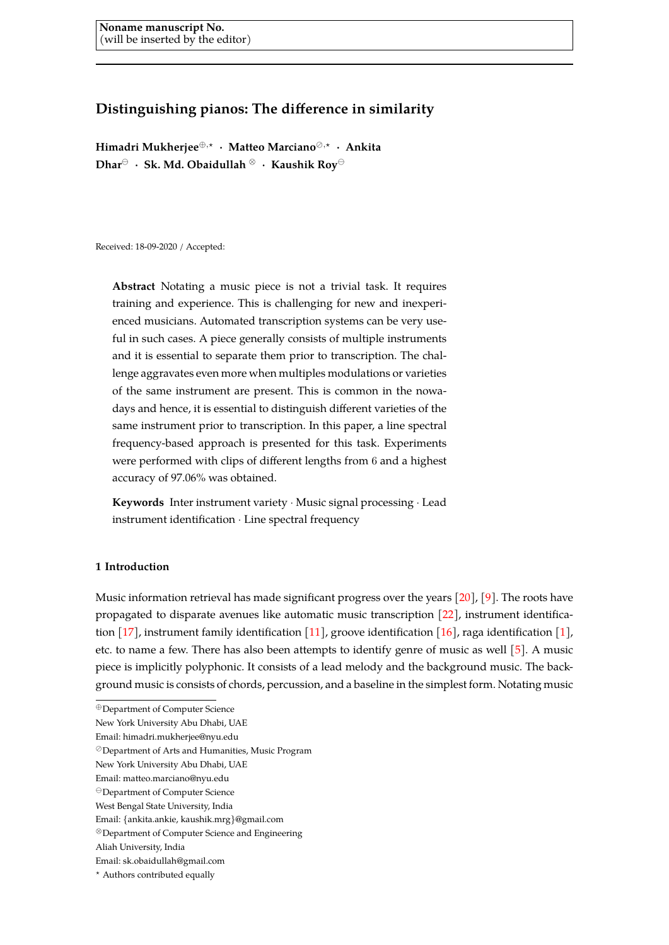# **Distinguishing pianos: The difference in similarity**

**Himadri Mukherjee**<sup>⊕</sup>,? · **Matteo Marciano**,? · **Ankita Dhar** · **Sk. Md. Obaidullah** <sup>⊗</sup> · **Kaushik Roy** 

Received: 18-09-2020 / Accepted:

**Abstract** Notating a music piece is not a trivial task. It requires training and experience. This is challenging for new and inexperienced musicians. Automated transcription systems can be very useful in such cases. A piece generally consists of multiple instruments and it is essential to separate them prior to transcription. The challenge aggravates even more when multiples modulations or varieties of the same instrument are present. This is common in the nowadays and hence, it is essential to distinguish different varieties of the same instrument prior to transcription. In this paper, a line spectral frequency-based approach is presented for this task. Experiments were performed with clips of different lengths from 6 and a highest accuracy of 97.06% was obtained.

**Keywords** Inter instrument variety · Music signal processing · Lead instrument identification · Line spectral frequency

# **1 Introduction**

Music information retrieval has made significant progress over the years [\[20\]](#page-7-0), [\[9\]](#page-6-0). The roots have propagated to disparate avenues like automatic music transcription [\[22\]](#page-7-1), instrument identification [\[17\]](#page-7-2), instrument family identification [\[11\]](#page-6-1), groove identification [\[16\]](#page-6-2), raga identification [\[1\]](#page-6-3), etc. to name a few. There has also been attempts to identify genre of music as well [\[5\]](#page-6-4). A music piece is implicitly polyphonic. It consists of a lead melody and the background music. The background music is consists of chords, percussion, and a baseline in the simplest form. Notating music

<sup>⊕</sup>Department of Computer Science

New York University Abu Dhabi, UAE

Email: himadri.mukherjee@nyu.edu

Department of Arts and Humanities, Music Program

New York University Abu Dhabi, UAE

Email: matteo.marciano@nyu.edu

Department of Computer Science

West Bengal State University, India

Email: {ankita.ankie, kaushik.mrg}@gmail.com

<sup>⊗</sup>Department of Computer Science and Engineering

Aliah University, India

Email: sk.obaidullah@gmail.com

<sup>?</sup> Authors contributed equally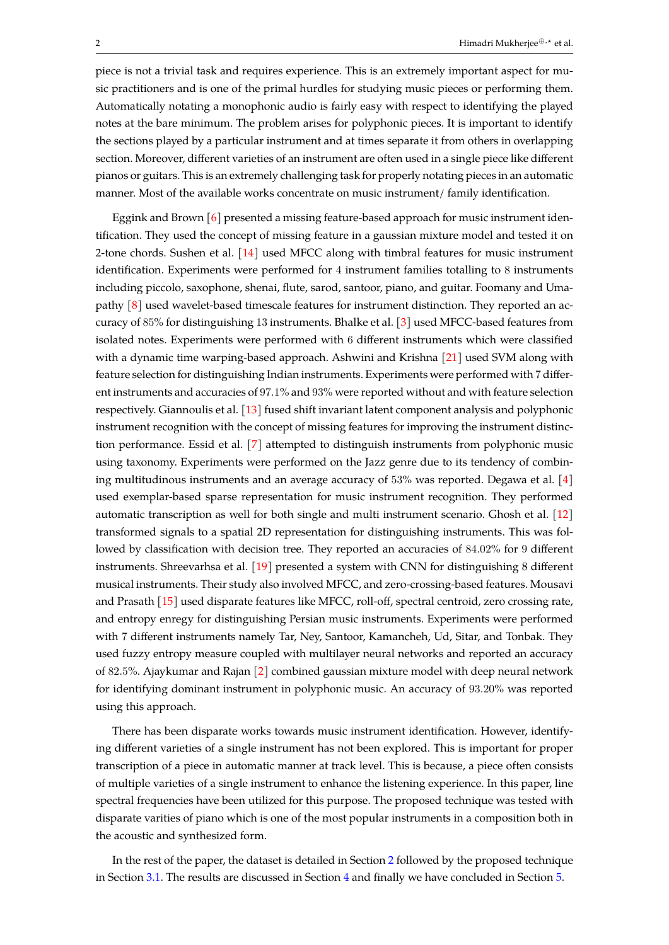piece is not a trivial task and requires experience. This is an extremely important aspect for music practitioners and is one of the primal hurdles for studying music pieces or performing them. Automatically notating a monophonic audio is fairly easy with respect to identifying the played notes at the bare minimum. The problem arises for polyphonic pieces. It is important to identify the sections played by a particular instrument and at times separate it from others in overlapping section. Moreover, different varieties of an instrument are often used in a single piece like different pianos or guitars. This is an extremely challenging task for properly notating pieces in an automatic manner. Most of the available works concentrate on music instrument/ family identification.

Eggink and Brown  $[6]$  presented a missing feature-based approach for music instrument identification. They used the concept of missing feature in a gaussian mixture model and tested it on 2-tone chords. Sushen et al. [\[14\]](#page-6-6) used MFCC along with timbral features for music instrument identification. Experiments were performed for 4 instrument families totalling to 8 instruments including piccolo, saxophone, shenai, flute, sarod, santoor, piano, and guitar. Foomany and Umapathy [\[8\]](#page-6-7) used wavelet-based timescale features for instrument distinction. They reported an accuracy of 85% for distinguishing 13 instruments. Bhalke et al. [\[3\]](#page-6-8) used MFCC-based features from isolated notes. Experiments were performed with 6 different instruments which were classified with a dynamic time warping-based approach. Ashwini and Krishna [\[21\]](#page-7-3) used SVM along with feature selection for distinguishing Indian instruments. Experiments were performed with 7 different instruments and accuracies of 97.1% and 93% were reported without and with feature selection respectively. Giannoulis et al. [\[13\]](#page-6-9) fused shift invariant latent component analysis and polyphonic instrument recognition with the concept of missing features for improving the instrument distinction performance. Essid et al. [\[7\]](#page-6-10) attempted to distinguish instruments from polyphonic music using taxonomy. Experiments were performed on the Jazz genre due to its tendency of combining multitudinous instruments and an average accuracy of 53% was reported. Degawa et al. [\[4\]](#page-6-11) used exemplar-based sparse representation for music instrument recognition. They performed automatic transcription as well for both single and multi instrument scenario. Ghosh et al. [\[12\]](#page-6-12) transformed signals to a spatial 2D representation for distinguishing instruments. This was followed by classification with decision tree. They reported an accuracies of 84.02% for 9 different instruments. Shreevarhsa et al. [\[19\]](#page-7-4) presented a system with CNN for distinguishing 8 different musical instruments. Their study also involved MFCC, and zero-crossing-based features. Mousavi and Prasath [\[15\]](#page-6-13) used disparate features like MFCC, roll-off, spectral centroid, zero crossing rate, and entropy enregy for distinguishing Persian music instruments. Experiments were performed with 7 different instruments namely Tar, Ney, Santoor, Kamancheh, Ud, Sitar, and Tonbak. They used fuzzy entropy measure coupled with multilayer neural networks and reported an accuracy of 82.5%. Ajaykumar and Rajan [\[2\]](#page-6-14) combined gaussian mixture model with deep neural network for identifying dominant instrument in polyphonic music. An accuracy of 93.20% was reported using this approach.

There has been disparate works towards music instrument identification. However, identifying different varieties of a single instrument has not been explored. This is important for proper transcription of a piece in automatic manner at track level. This is because, a piece often consists of multiple varieties of a single instrument to enhance the listening experience. In this paper, line spectral frequencies have been utilized for this purpose. The proposed technique was tested with disparate varities of piano which is one of the most popular instruments in a composition both in the acoustic and synthesized form.

In the rest of the paper, the dataset is detailed in Section [2](#page-2-0) followed by the proposed technique in Section [3.1.](#page-3-0) The results are discussed in Section [4](#page-4-0) and finally we have concluded in Section [5.](#page-6-15)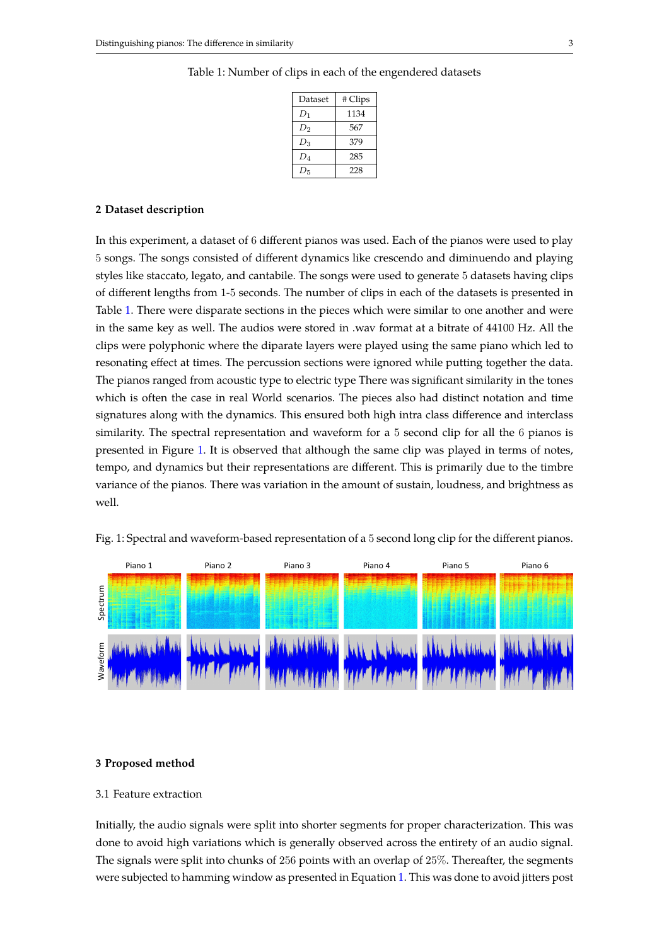| Dataset | # Clips |  |
|---------|---------|--|
| $D_1$   | 1134    |  |
| $D_2$   | 567     |  |
| $D_3$   | 379     |  |
| $D_4$   | 285     |  |
| $D_5$   | 228     |  |

## <span id="page-2-1"></span>Table 1: Number of clips in each of the engendered datasets

### <span id="page-2-0"></span>**2 Dataset description**

In this experiment, a dataset of 6 different pianos was used. Each of the pianos were used to play 5 songs. The songs consisted of different dynamics like crescendo and diminuendo and playing styles like staccato, legato, and cantabile. The songs were used to generate 5 datasets having clips of different lengths from 1-5 seconds. The number of clips in each of the datasets is presented in Table [1.](#page-2-1) There were disparate sections in the pieces which were similar to one another and were in the same key as well. The audios were stored in .wav format at a bitrate of 44100 Hz. All the clips were polyphonic where the diparate layers were played using the same piano which led to resonating effect at times. The percussion sections were ignored while putting together the data. The pianos ranged from acoustic type to electric type There was significant similarity in the tones which is often the case in real World scenarios. The pieces also had distinct notation and time signatures along with the dynamics. This ensured both high intra class difference and interclass similarity. The spectral representation and waveform for a 5 second clip for all the 6 pianos is presented in Figure [1.](#page-2-2) It is observed that although the same clip was played in terms of notes, tempo, and dynamics but their representations are different. This is primarily due to the timbre variance of the pianos. There was variation in the amount of sustain, loudness, and brightness as well.



<span id="page-2-2"></span>Fig. 1: Spectral and waveform-based representation of a 5 second long clip for the different pianos.

#### **3 Proposed method**

## 3.1 Feature extraction

Initially, the audio signals were split into shorter segments for proper characterization. This was done to avoid high variations which is generally observed across the entirety of an audio signal. The signals were split into chunks of 256 points with an overlap of 25%. Thereafter, the segments were subjected to hamming window as presented in Equation [1.](#page-3-0) This was done to avoid jitters post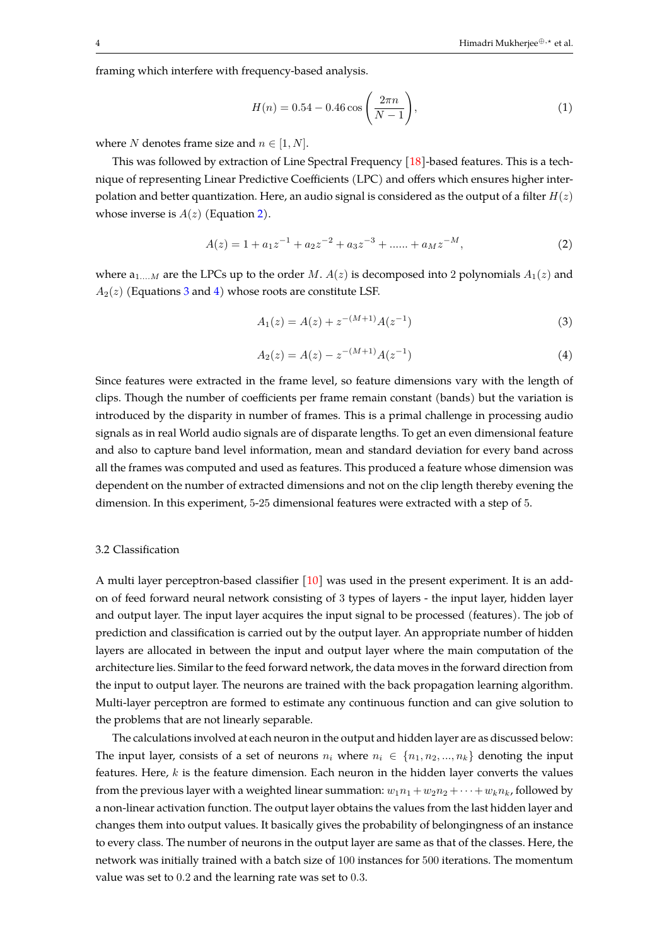framing which interfere with frequency-based analysis.

<span id="page-3-0"></span>
$$
H(n) = 0.54 - 0.46 \cos\left(\frac{2\pi n}{N - 1}\right),\tag{1}
$$

where *N* denotes frame size and  $n \in [1, N]$ .

This was followed by extraction of Line Spectral Frequency [\[18\]](#page-7-5)-based features. This is a technique of representing Linear Predictive Coefficients (LPC) and offers which ensures higher interpolation and better quantization. Here, an audio signal is considered as the output of a filter  $H(z)$ whose inverse is  $A(z)$  (Equation [2\)](#page-3-1).

<span id="page-3-1"></span>
$$
A(z) = 1 + a_1 z^{-1} + a_2 z^{-2} + a_3 z^{-3} + \dots + a_M z^{-M},
$$
\n(2)

where  $a_{1,...M}$  are the LPCs up to the order M.  $A(z)$  is decomposed into 2 polynomials  $A_1(z)$  and  $A_2(z)$  (Equations [3](#page-3-2) and [4\)](#page-3-3) whose roots are constitute LSF.

<span id="page-3-2"></span>
$$
A_1(z) = A(z) + z^{-(M+1)}A(z^{-1})
$$
\n(3)

<span id="page-3-3"></span>
$$
A_2(z) = A(z) - z^{-(M+1)}A(z^{-1})
$$
\n(4)

Since features were extracted in the frame level, so feature dimensions vary with the length of clips. Though the number of coefficients per frame remain constant (bands) but the variation is introduced by the disparity in number of frames. This is a primal challenge in processing audio signals as in real World audio signals are of disparate lengths. To get an even dimensional feature and also to capture band level information, mean and standard deviation for every band across all the frames was computed and used as features. This produced a feature whose dimension was dependent on the number of extracted dimensions and not on the clip length thereby evening the dimension. In this experiment, 5-25 dimensional features were extracted with a step of 5.

## 3.2 Classification

A multi layer perceptron-based classifier  $\lceil 10 \rceil$  was used in the present experiment. It is an addon of feed forward neural network consisting of 3 types of layers - the input layer, hidden layer and output layer. The input layer acquires the input signal to be processed (features). The job of prediction and classification is carried out by the output layer. An appropriate number of hidden layers are allocated in between the input and output layer where the main computation of the architecture lies. Similar to the feed forward network, the data moves in the forward direction from the input to output layer. The neurons are trained with the back propagation learning algorithm. Multi-layer perceptron are formed to estimate any continuous function and can give solution to the problems that are not linearly separable.

The calculations involved at each neuron in the output and hidden layer are as discussed below: The input layer, consists of a set of neurons  $n_i$  where  $n_i \in \{n_1, n_2, ..., n_k\}$  denoting the input features. Here,  $k$  is the feature dimension. Each neuron in the hidden layer converts the values from the previous layer with a weighted linear summation:  $w_1n_1 + w_2n_2 + \cdots + w_kn_k$ , followed by a non-linear activation function. The output layer obtains the values from the last hidden layer and changes them into output values. It basically gives the probability of belongingness of an instance to every class. The number of neurons in the output layer are same as that of the classes. Here, the network was initially trained with a batch size of 100 instances for 500 iterations. The momentum value was set to 0.2 and the learning rate was set to 0.3.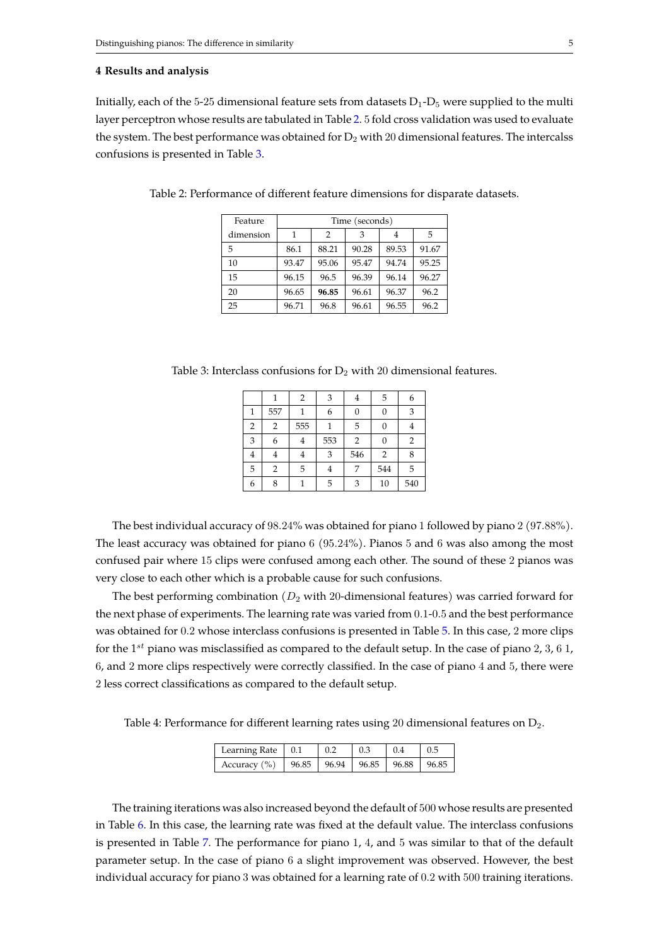## <span id="page-4-0"></span>**4 Results and analysis**

Initially, each of the 5-25 dimensional feature sets from datasets  $D_1$ - $D_5$  were supplied to the multi layer perceptron whose results are tabulated in Table [2.](#page-4-1) 5 fold cross validation was used to evaluate the system. The best performance was obtained for  $D_2$  with 20 dimensional features. The intercalss confusions is presented in Table [3.](#page-4-2)

| Feature   | Time (seconds) |       |       |       |       |
|-----------|----------------|-------|-------|-------|-------|
| dimension | 1              | 2     | 3     |       | .5    |
| 5         | 86.1           | 88.21 | 90.28 | 89.53 | 91.67 |
| 10        | 93.47          | 95.06 | 95.47 | 94.74 | 95.25 |
| 15        | 96.15          | 96.5  | 96.39 | 96.14 | 96.27 |
| 20        | 96.65          | 96.85 | 96.61 | 96.37 | 96.2  |
| 25        | 96.71          | 96.8  | 96.61 | 96.55 | 96.2  |

<span id="page-4-1"></span>Table 2: Performance of different feature dimensions for disparate datasets.

<span id="page-4-2"></span>Table 3: Interclass confusions for  $D_2$  with 20 dimensional features.

|                |                | $\overline{2}$ | 3   | 4   | 5              | 6   |
|----------------|----------------|----------------|-----|-----|----------------|-----|
| $\mathbf{1}$   | 557            |                | 6   | 0   | 0              | 3   |
| $\overline{2}$ | $\overline{2}$ | 555            |     | 5   | 0              |     |
| 3              | 6              | 4              | 553 | 2   | 0              | 2   |
| 4              | ±              | 4              | 3   | 546 | $\overline{2}$ | 8   |
| 5              | 2              | 5              | 4   |     | 544            | 5   |
| 6              | 8              |                | 5   | 3   | 10             | 540 |

The best individual accuracy of 98.24% was obtained for piano 1 followed by piano 2 (97.88%). The least accuracy was obtained for piano 6 (95.24%). Pianos 5 and 6 was also among the most confused pair where 15 clips were confused among each other. The sound of these 2 pianos was very close to each other which is a probable cause for such confusions.

The best performing combination  $(D_2 \text{ with } 20\text{-dimensional features})$  was carried forward for the next phase of experiments. The learning rate was varied from 0.1-0.5 and the best performance was obtained for 0.2 whose interclass confusions is presented in Table [5.](#page-5-0) In this case, 2 more clips for the 1<sup>st</sup> piano was misclassified as compared to the default setup. In the case of piano 2, 3, 6 1, 6, and 2 more clips respectively were correctly classified. In the case of piano 4 and 5, there were 2 less correct classifications as compared to the default setup.

Table 4: Performance for different learning rates using 20 dimensional features on  $D_2$ .

| Learning Rate $\vert 0.1 \vert$                                 | 0.2 | $\perp$ 0.3 | $\vert 0.4 \vert$ | 10.5 |
|-----------------------------------------------------------------|-----|-------------|-------------------|------|
| Accuracy $\binom{9}{0}$   96.85   96.94   96.85   96.88   96.85 |     |             |                   |      |

The training iterations was also increased beyond the default of 500 whose results are presented in Table [6.](#page-5-1) In this case, the learning rate was fixed at the default value. The interclass confusions is presented in Table [7.](#page-5-2) The performance for piano 1, 4, and 5 was similar to that of the default parameter setup. In the case of piano 6 a slight improvement was observed. However, the best individual accuracy for piano 3 was obtained for a learning rate of 0.2 with 500 training iterations.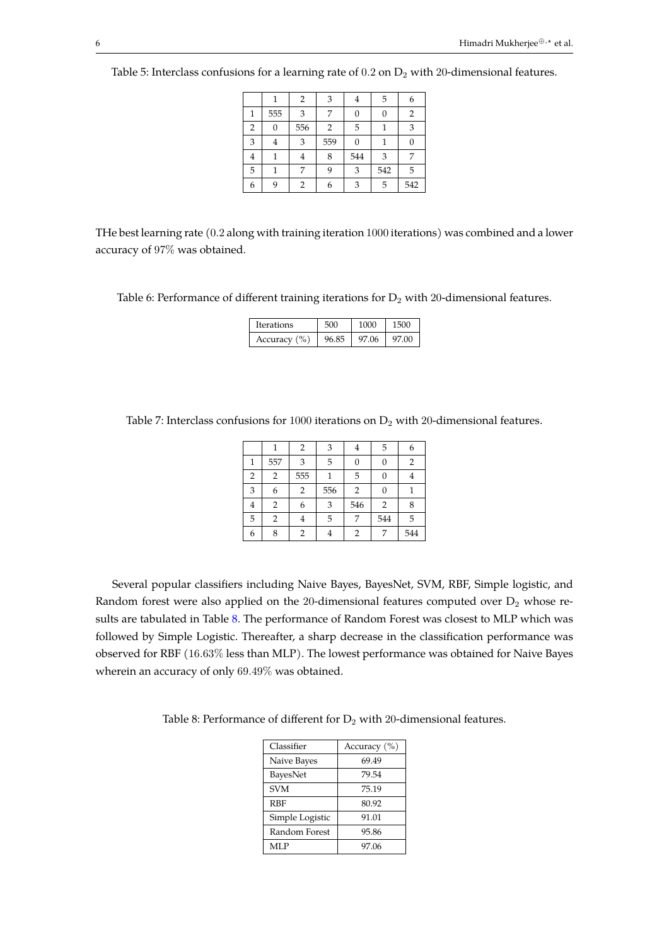|                |     | $\overline{2}$ | 3   | 4   | 5   | 6   |
|----------------|-----|----------------|-----|-----|-----|-----|
| 1              | 555 | 3              | 7   | 0   | 0   | 2   |
| $\overline{2}$ | 0   | 556            | 2   | 5   |     | 3   |
| 3              | 4   | 3              | 559 | 0   |     |     |
| $\overline{4}$ |     | 4              | 8   | 544 | 3   | 7   |
| 5              |     | 7              | 9   | 3   | 542 | 5   |
| 6              | 9   | 2              | 6   | 3   | 5   | 542 |

<span id="page-5-0"></span>Table 5: Interclass confusions for a learning rate of  $0.2$  on  $D_2$  with 20-dimensional features.

THe best learning rate (0.2 along with training iteration 1000 iterations) was combined and a lower accuracy of 97% was obtained.

<span id="page-5-1"></span>Table 6: Performance of different training iterations for  $D_2$  with 20-dimensional features.

| Iterations       | റററ   |            |
|------------------|-------|------------|
| Accuracy $(\% )$ | 97.06 | .00<br>97. |

<span id="page-5-2"></span>Table 7: Interclass confusions for 1000 iterations on  $D_2$  with 20-dimensional features.

|   |                | 2   | 3   | 4              | 5              | 6   |
|---|----------------|-----|-----|----------------|----------------|-----|
| 1 | 557            | 3   | 5   | 0              | 0              | 2   |
| 2 | $\overline{2}$ | 555 |     | 5              | 0              |     |
| 3 | 6              | 2   | 556 | $\overline{2}$ | 0              |     |
| 4 | $\overline{2}$ | 6   | 3   | 546            | $\overline{2}$ |     |
| 5 | $\overline{2}$ | 4   | 5   | 7              | 544            | 5   |
| 6 | 8              | 2   |     | 2              | 7              | 544 |

Several popular classifiers including Naive Bayes, BayesNet, SVM, RBF, Simple logistic, and Random forest were also applied on the 20-dimensional features computed over  $D_2$  whose re-sults are tabulated in Table [8.](#page-5-3) The performance of Random Forest was closest to MLP which was followed by Simple Logistic. Thereafter, a sharp decrease in the classification performance was observed for RBF (16.63% less than MLP). The lowest performance was obtained for Naive Bayes wherein an accuracy of only 69.49% was obtained.

<span id="page-5-3"></span>Table 8: Performance of different for  $D_2$  with 20-dimensional features.

| Classifier      | Accuracy $(\% )$ |
|-----------------|------------------|
| Naive Bayes     | 69.49            |
| BayesNet        | 79.54            |
| <b>SVM</b>      | 75.19            |
| <b>RBF</b>      | 80.92            |
| Simple Logistic | 91.01            |
| Random Forest   | 95.86            |
| MLP             | 97.06            |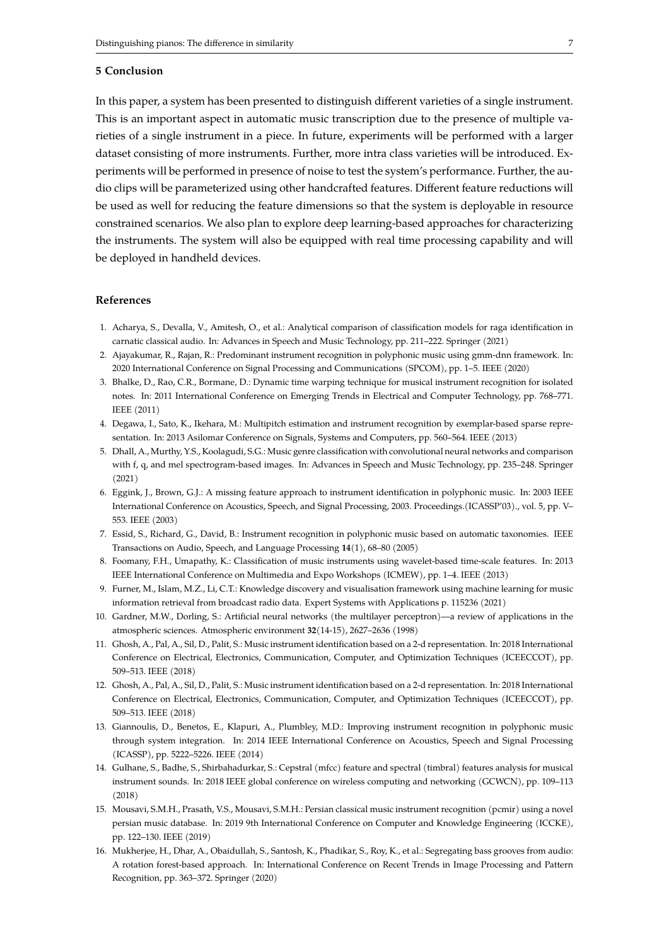# <span id="page-6-15"></span>**5 Conclusion**

In this paper, a system has been presented to distinguish different varieties of a single instrument. This is an important aspect in automatic music transcription due to the presence of multiple varieties of a single instrument in a piece. In future, experiments will be performed with a larger dataset consisting of more instruments. Further, more intra class varieties will be introduced. Experiments will be performed in presence of noise to test the system's performance. Further, the audio clips will be parameterized using other handcrafted features. Different feature reductions will be used as well for reducing the feature dimensions so that the system is deployable in resource constrained scenarios. We also plan to explore deep learning-based approaches for characterizing the instruments. The system will also be equipped with real time processing capability and will be deployed in handheld devices.

# **References**

- <span id="page-6-3"></span>1. Acharya, S., Devalla, V., Amitesh, O., et al.: Analytical comparison of classification models for raga identification in carnatic classical audio. In: Advances in Speech and Music Technology, pp. 211–222. Springer (2021)
- <span id="page-6-14"></span>2. Ajayakumar, R., Rajan, R.: Predominant instrument recognition in polyphonic music using gmm-dnn framework. In: 2020 International Conference on Signal Processing and Communications (SPCOM), pp. 1–5. IEEE (2020)
- <span id="page-6-8"></span>3. Bhalke, D., Rao, C.R., Bormane, D.: Dynamic time warping technique for musical instrument recognition for isolated notes. In: 2011 International Conference on Emerging Trends in Electrical and Computer Technology, pp. 768–771. IEEE (2011)
- <span id="page-6-11"></span>4. Degawa, I., Sato, K., Ikehara, M.: Multipitch estimation and instrument recognition by exemplar-based sparse representation. In: 2013 Asilomar Conference on Signals, Systems and Computers, pp. 560–564. IEEE (2013)
- <span id="page-6-4"></span>5. Dhall, A., Murthy, Y.S., Koolagudi, S.G.: Music genre classification with convolutional neural networks and comparison with f, q, and mel spectrogram-based images. In: Advances in Speech and Music Technology, pp. 235–248. Springer (2021)
- <span id="page-6-5"></span>6. Eggink, J., Brown, G.J.: A missing feature approach to instrument identification in polyphonic music. In: 2003 IEEE International Conference on Acoustics, Speech, and Signal Processing, 2003. Proceedings.(ICASSP'03)., vol. 5, pp. V– 553. IEEE (2003)
- <span id="page-6-10"></span>7. Essid, S., Richard, G., David, B.: Instrument recognition in polyphonic music based on automatic taxonomies. IEEE Transactions on Audio, Speech, and Language Processing **14**(1), 68–80 (2005)
- <span id="page-6-7"></span>8. Foomany, F.H., Umapathy, K.: Classification of music instruments using wavelet-based time-scale features. In: 2013 IEEE International Conference on Multimedia and Expo Workshops (ICMEW), pp. 1–4. IEEE (2013)
- <span id="page-6-0"></span>9. Furner, M., Islam, M.Z., Li, C.T.: Knowledge discovery and visualisation framework using machine learning for music information retrieval from broadcast radio data. Expert Systems with Applications p. 115236 (2021)
- <span id="page-6-16"></span>10. Gardner, M.W., Dorling, S.: Artificial neural networks (the multilayer perceptron)—a review of applications in the atmospheric sciences. Atmospheric environment **32**(14-15), 2627–2636 (1998)
- <span id="page-6-1"></span>11. Ghosh, A., Pal, A., Sil, D., Palit, S.: Music instrument identification based on a 2-d representation. In: 2018 International Conference on Electrical, Electronics, Communication, Computer, and Optimization Techniques (ICEECCOT), pp. 509–513. IEEE (2018)
- <span id="page-6-12"></span>12. Ghosh, A., Pal, A., Sil, D., Palit, S.: Music instrument identification based on a 2-d representation. In: 2018 International Conference on Electrical, Electronics, Communication, Computer, and Optimization Techniques (ICEECCOT), pp. 509–513. IEEE (2018)
- <span id="page-6-9"></span>13. Giannoulis, D., Benetos, E., Klapuri, A., Plumbley, M.D.: Improving instrument recognition in polyphonic music through system integration. In: 2014 IEEE International Conference on Acoustics, Speech and Signal Processing (ICASSP), pp. 5222–5226. IEEE (2014)
- <span id="page-6-6"></span>14. Gulhane, S., Badhe, S., Shirbahadurkar, S.: Cepstral (mfcc) feature and spectral (timbral) features analysis for musical instrument sounds. In: 2018 IEEE global conference on wireless computing and networking (GCWCN), pp. 109–113 (2018)
- <span id="page-6-13"></span>15. Mousavi, S.M.H., Prasath, V.S., Mousavi, S.M.H.: Persian classical music instrument recognition (pcmir) using a novel persian music database. In: 2019 9th International Conference on Computer and Knowledge Engineering (ICCKE), pp. 122–130. IEEE (2019)
- <span id="page-6-2"></span>16. Mukherjee, H., Dhar, A., Obaidullah, S., Santosh, K., Phadikar, S., Roy, K., et al.: Segregating bass grooves from audio: A rotation forest-based approach. In: International Conference on Recent Trends in Image Processing and Pattern Recognition, pp. 363–372. Springer (2020)